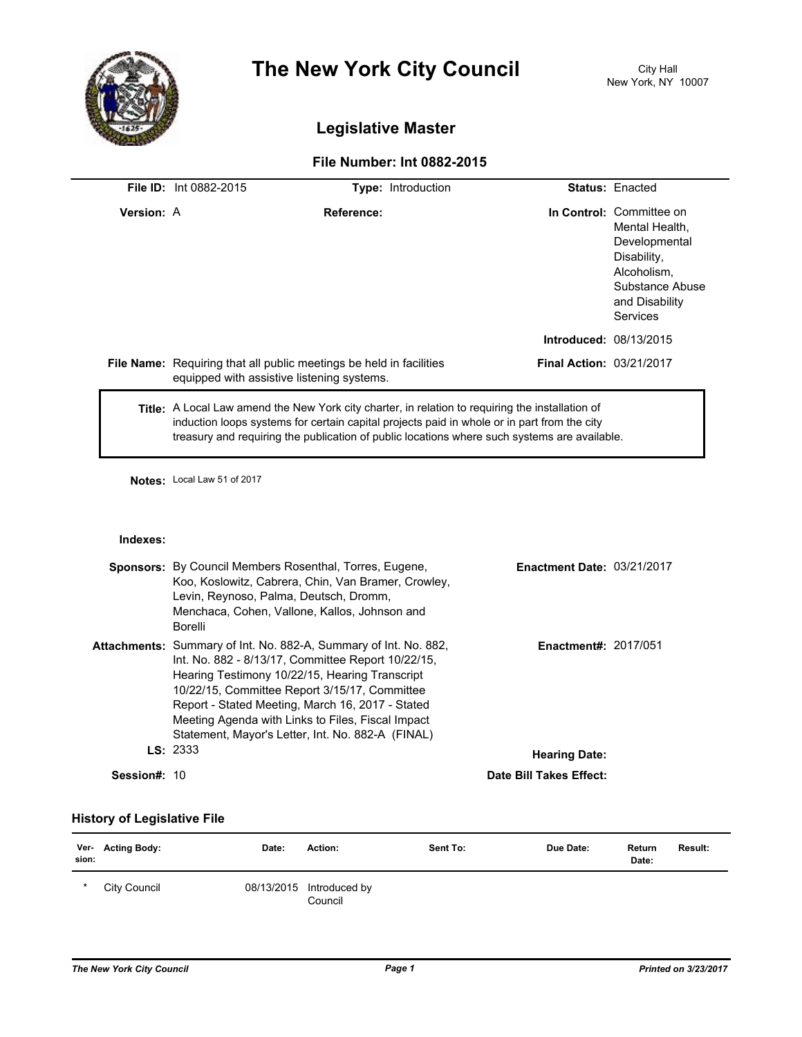

# **The New York City Council** City Hall

# **Legislative Master**

## **File Number: Int 0882-2015**

|                     | File ID: Int 0882-2015                                                                                                                                               | Type: Introduction                                                                                                                                                                                                                                                                              |                                   | <b>Status: Enacted</b>                                                                                                                     |
|---------------------|----------------------------------------------------------------------------------------------------------------------------------------------------------------------|-------------------------------------------------------------------------------------------------------------------------------------------------------------------------------------------------------------------------------------------------------------------------------------------------|-----------------------------------|--------------------------------------------------------------------------------------------------------------------------------------------|
| <b>Version: A</b>   |                                                                                                                                                                      | Reference:                                                                                                                                                                                                                                                                                      |                                   | In Control: Committee on<br>Mental Health,<br>Developmental<br>Disability,<br>Alcoholism,<br>Substance Abuse<br>and Disability<br>Services |
|                     |                                                                                                                                                                      |                                                                                                                                                                                                                                                                                                 | Introduced: 08/13/2015            |                                                                                                                                            |
|                     | equipped with assistive listening systems.                                                                                                                           | File Name: Requiring that all public meetings be held in facilities                                                                                                                                                                                                                             | Final Action: 03/21/2017          |                                                                                                                                            |
|                     |                                                                                                                                                                      | Title: A Local Law amend the New York city charter, in relation to requiring the installation of<br>induction loops systems for certain capital projects paid in whole or in part from the city<br>treasury and requiring the publication of public locations where such systems are available. |                                   |                                                                                                                                            |
|                     | Notes: Local Law 51 of 2017                                                                                                                                          |                                                                                                                                                                                                                                                                                                 |                                   |                                                                                                                                            |
| Indexes:            |                                                                                                                                                                      |                                                                                                                                                                                                                                                                                                 |                                   |                                                                                                                                            |
|                     | <b>Sponsors:</b> By Council Members Rosenthal, Torres, Eugene,<br>Levin, Reynoso, Palma, Deutsch, Dromm,<br>Menchaca, Cohen, Vallone, Kallos, Johnson and<br>Borelli | Koo, Koslowitz, Cabrera, Chin, Van Bramer, Crowley,                                                                                                                                                                                                                                             | <b>Enactment Date: 03/21/2017</b> |                                                                                                                                            |
|                     | Hearing Testimony 10/22/15, Hearing Transcript<br>10/22/15, Committee Report 3/15/17, Committee                                                                      | Attachments: Summary of Int. No. 882-A, Summary of Int. No. 882,<br>Int. No. 882 - 8/13/17, Committee Report 10/22/15,<br>Report - Stated Meeting, March 16, 2017 - Stated<br>Meeting Agenda with Links to Files, Fiscal Impact<br>Statement, Mayor's Letter, Int. No. 882-A (FINAL)            | Enactment#: 2017/051              |                                                                                                                                            |
|                     | LS: 2333                                                                                                                                                             |                                                                                                                                                                                                                                                                                                 | <b>Hearing Date:</b>              |                                                                                                                                            |
| <b>Session#: 10</b> |                                                                                                                                                                      |                                                                                                                                                                                                                                                                                                 | Date Bill Takes Effect:           |                                                                                                                                            |

### **History of Legislative File**

| sion: | Ver- Acting Body: | Date: | Action:                             | Sent To: | Due Date: | Return<br>Date: | Result: |
|-------|-------------------|-------|-------------------------------------|----------|-----------|-----------------|---------|
| *     | City Council      |       | 08/13/2015 Introduced by<br>Council |          |           |                 |         |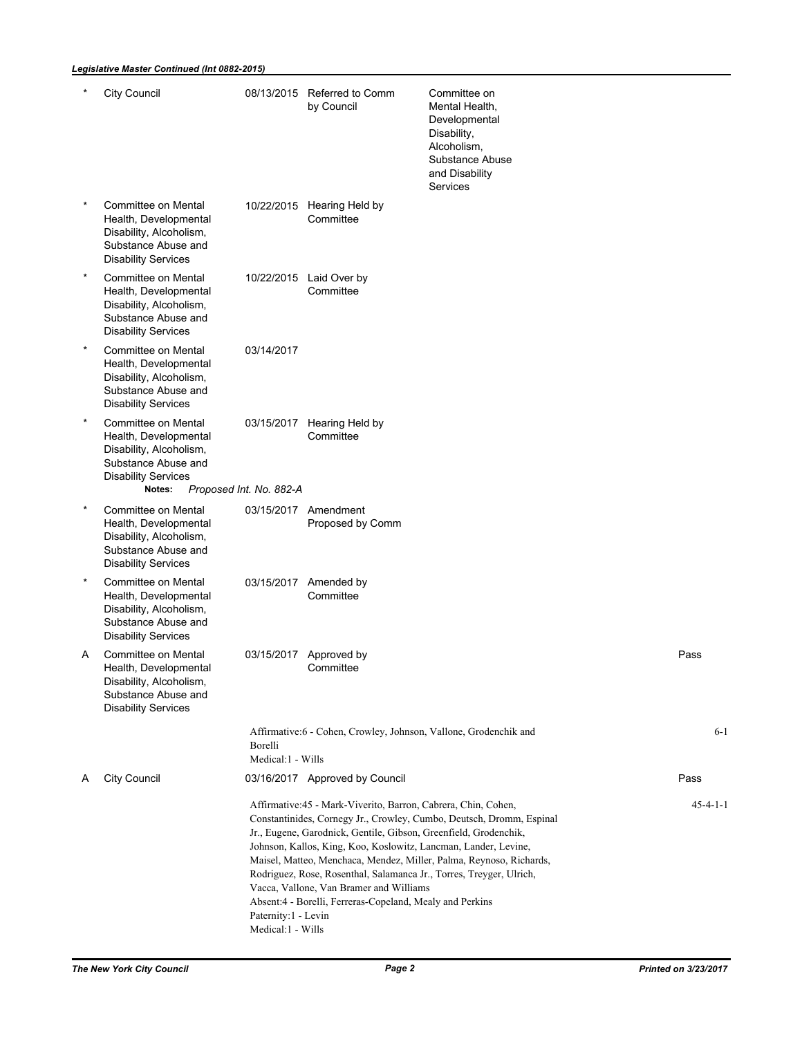#### *Legislative Master Continued (Int 0882-2015)*

|         | <b>City Council</b>                                                                                                                    |                                          | 08/13/2015 Referred to Comm<br>by Council                                                                                                                                                                                                                                                                                                                                           | Committee on<br>Mental Health,<br>Developmental<br>Disability,<br>Alcoholism,<br>Substance Abuse<br>and Disability<br>Services              |                  |
|---------|----------------------------------------------------------------------------------------------------------------------------------------|------------------------------------------|-------------------------------------------------------------------------------------------------------------------------------------------------------------------------------------------------------------------------------------------------------------------------------------------------------------------------------------------------------------------------------------|---------------------------------------------------------------------------------------------------------------------------------------------|------------------|
| $\star$ | Committee on Mental<br>Health, Developmental<br>Disability, Alcoholism,<br>Substance Abuse and<br><b>Disability Services</b>           |                                          | 10/22/2015 Hearing Held by<br>Committee                                                                                                                                                                                                                                                                                                                                             |                                                                                                                                             |                  |
| $\star$ | Committee on Mental<br>Health, Developmental<br>Disability, Alcoholism,<br>Substance Abuse and<br><b>Disability Services</b>           |                                          | 10/22/2015 Laid Over by<br>Committee                                                                                                                                                                                                                                                                                                                                                |                                                                                                                                             |                  |
| $\star$ | Committee on Mental<br>Health, Developmental<br>Disability, Alcoholism,<br>Substance Abuse and<br><b>Disability Services</b>           | 03/14/2017                               |                                                                                                                                                                                                                                                                                                                                                                                     |                                                                                                                                             |                  |
| $\star$ | Committee on Mental<br>Health, Developmental<br>Disability, Alcoholism,<br>Substance Abuse and<br><b>Disability Services</b><br>Notes: | 03/15/2017<br>Proposed Int. No. 882-A    | Hearing Held by<br>Committee                                                                                                                                                                                                                                                                                                                                                        |                                                                                                                                             |                  |
| $\star$ | Committee on Mental<br>Health, Developmental<br>Disability, Alcoholism,<br>Substance Abuse and<br><b>Disability Services</b>           |                                          | 03/15/2017 Amendment<br>Proposed by Comm                                                                                                                                                                                                                                                                                                                                            |                                                                                                                                             |                  |
| $\star$ | Committee on Mental<br>Health, Developmental<br>Disability, Alcoholism,<br>Substance Abuse and<br><b>Disability Services</b>           |                                          | 03/15/2017 Amended by<br>Committee                                                                                                                                                                                                                                                                                                                                                  |                                                                                                                                             |                  |
| Α       | Committee on Mental<br>Health, Developmental<br>Disability, Alcoholism,<br>Substance Abuse and<br><b>Disability Services</b>           |                                          | 03/15/2017 Approved by<br>Committee                                                                                                                                                                                                                                                                                                                                                 |                                                                                                                                             | Pass             |
|         |                                                                                                                                        | Borelli<br>Medical:1 - Wills             | Affirmative:6 - Cohen, Crowley, Johnson, Vallone, Grodenchik and                                                                                                                                                                                                                                                                                                                    |                                                                                                                                             | $6 - 1$          |
| A       | City Council                                                                                                                           |                                          | 03/16/2017 Approved by Council                                                                                                                                                                                                                                                                                                                                                      |                                                                                                                                             | Pass             |
|         |                                                                                                                                        | Paternity:1 - Levin<br>Medical:1 - Wills | Affirmative: 45 - Mark-Viverito, Barron, Cabrera, Chin, Cohen,<br>Jr., Eugene, Garodnick, Gentile, Gibson, Greenfield, Grodenchik,<br>Johnson, Kallos, King, Koo, Koslowitz, Lancman, Lander, Levine,<br>Rodriguez, Rose, Rosenthal, Salamanca Jr., Torres, Treyger, Ulrich,<br>Vacca, Vallone, Van Bramer and Williams<br>Absent:4 - Borelli, Ferreras-Copeland, Mealy and Perkins | Constantinides, Cornegy Jr., Crowley, Cumbo, Deutsch, Dromm, Espinal<br>Maisel, Matteo, Menchaca, Mendez, Miller, Palma, Reynoso, Richards, | $45 - 4 - 1 - 1$ |